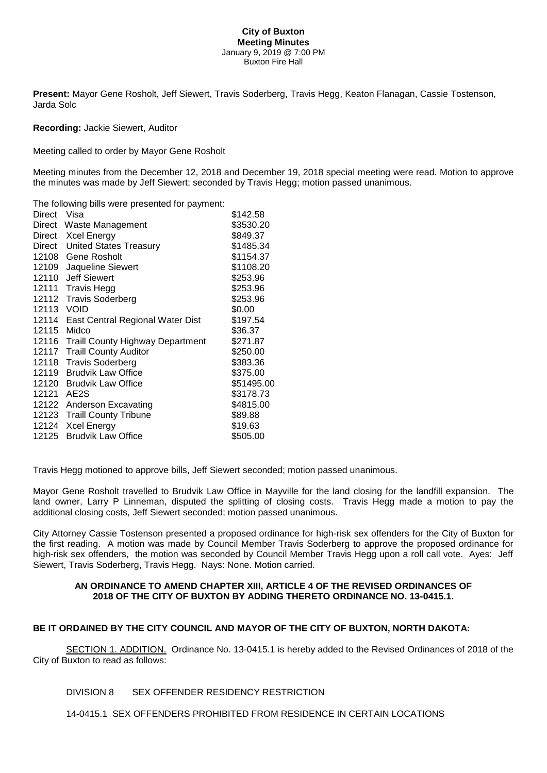#### **City of Buxton Meeting Minutes** January 9, 2019 @ 7:00 PM Buxton Fire Hall

**Present:** Mayor Gene Rosholt, Jeff Siewert, Travis Soderberg, Travis Hegg, Keaton Flanagan, Cassie Tostenson, Jarda Solc

#### **Recording:** Jackie Siewert, Auditor

Meeting called to order by Mayor Gene Rosholt

Meeting minutes from the December 12, 2018 and December 19, 2018 special meeting were read. Motion to approve the minutes was made by Jeff Siewert; seconded by Travis Hegg; motion passed unanimous.

| The following bills were presented for payment: |                                        |            |
|-------------------------------------------------|----------------------------------------|------------|
| Direct                                          | Visa                                   | \$142.58   |
|                                                 | Direct Waste Management                | \$3530.20  |
|                                                 | Direct Xcel Energy                     | \$849.37   |
|                                                 | Direct United States Treasury          | \$1485.34  |
|                                                 | 12108 Gene Rosholt                     | \$1154.37  |
| 12109                                           | Jaqueline Siewert                      | \$1108.20  |
| 12110                                           | <b>Jeff Siewert</b>                    | \$253.96   |
|                                                 | 12111 Travis Hegg                      | \$253.96   |
|                                                 | 12112 Travis Soderberg                 | \$253.96   |
| 12113 VOID                                      |                                        | \$0.00     |
| 12114                                           | East Central Regional Water Dist       | \$197.54   |
| 12115                                           | Midco                                  | \$36.37    |
|                                                 | 12116 Traill County Highway Department | \$271.87   |
|                                                 | 12117 Traill County Auditor            | \$250.00   |
| 12118                                           | <b>Travis Soderberg</b>                | \$383.36   |
| 12119                                           | <b>Brudvik Law Office</b>              | \$375.00   |
| 12120                                           | <b>Brudvik Law Office</b>              | \$51495.00 |
| 12121                                           | AE <sub>2</sub> S                      | \$3178.73  |
| 12122                                           | Anderson Excavating                    | \$4815.00  |
| 12123                                           | <b>Traill County Tribune</b>           | \$89.88    |
| 12124                                           | <b>Xcel Energy</b>                     | \$19.63    |
| 12125                                           | <b>Brudvik Law Office</b>              | \$505.00   |
|                                                 |                                        |            |

Travis Hegg motioned to approve bills, Jeff Siewert seconded; motion passed unanimous.

Mayor Gene Rosholt travelled to Brudvik Law Office in Mayville for the land closing for the landfill expansion. The land owner, Larry P Linneman, disputed the splitting of closing costs. Travis Hegg made a motion to pay the additional closing costs, Jeff Siewert seconded; motion passed unanimous.

City Attorney Cassie Tostenson presented a proposed ordinance for high-risk sex offenders for the City of Buxton for the first reading. A motion was made by Council Member Travis Soderberg to approve the proposed ordinance for high-risk sex offenders, the motion was seconded by Council Member Travis Hegg upon a roll call vote. Ayes: Jeff Siewert, Travis Soderberg, Travis Hegg. Nays: None. Motion carried.

#### **AN ORDINANCE TO AMEND CHAPTER XIII, ARTICLE 4 OF THE REVISED ORDINANCES OF 2018 OF THE CITY OF BUXTON BY ADDING THERETO ORDINANCE NO. 13-0415.1.**

## **BE IT ORDAINED BY THE CITY COUNCIL AND MAYOR OF THE CITY OF BUXTON, NORTH DAKOTA:**

SECTION 1. ADDITION. Ordinance No. 13-0415.1 is hereby added to the Revised Ordinances of 2018 of the City of Buxton to read as follows:

DIVISION 8 SEX OFFENDER RESIDENCY RESTRICTION

14-0415.1 SEX OFFENDERS PROHIBITED FROM RESIDENCE IN CERTAIN LOCATIONS